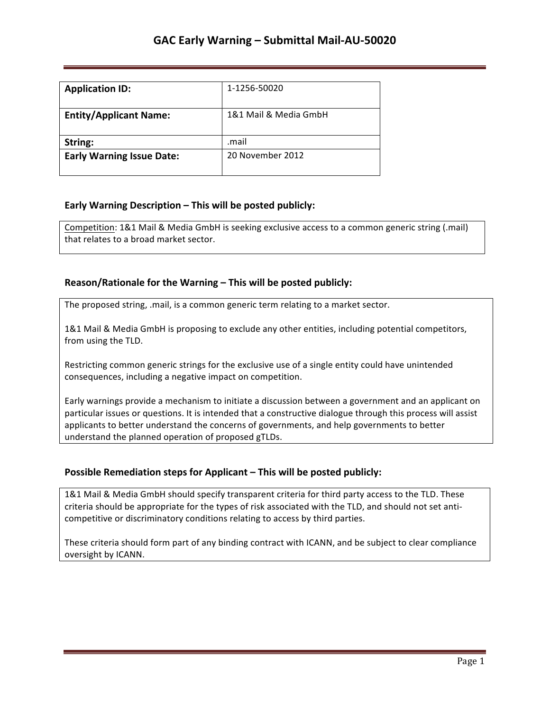| <b>Application ID:</b>           | 1-1256-50020          |
|----------------------------------|-----------------------|
| <b>Entity/Applicant Name:</b>    | 1&1 Mail & Media GmbH |
| String:                          | .mail                 |
| <b>Early Warning Issue Date:</b> | 20 November 2012      |

## **Early Warning Description – This will be posted publicly:**

Competition: 1&1 Mail & Media GmbH is seeking exclusive access to a common generic string (.mail) that relates to a broad market sector.

### **Reason/Rationale for the Warning – This will be posted publicly:**

The proposed string, .mail, is a common generic term relating to a market sector.

1&1 Mail & Media GmbH is proposing to exclude any other entities, including potential competitors, from using the TLD.

Restricting common generic strings for the exclusive use of a single entity could have unintended consequences, including a negative impact on competition.

Early warnings provide a mechanism to initiate a discussion between a government and an applicant on particular issues or questions. It is intended that a constructive dialogue through this process will assist applicants to better understand the concerns of governments, and help governments to better understand the planned operation of proposed gTLDs.

### **Possible Remediation steps for Applicant – This will be posted publicly:**

1&1 Mail & Media GmbH should specify transparent criteria for third party access to the TLD. These criteria should be appropriate for the types of risk associated with the TLD, and should not set anticompetitive or discriminatory conditions relating to access by third parties.

These criteria should form part of any binding contract with ICANN, and be subject to clear compliance oversight by ICANN.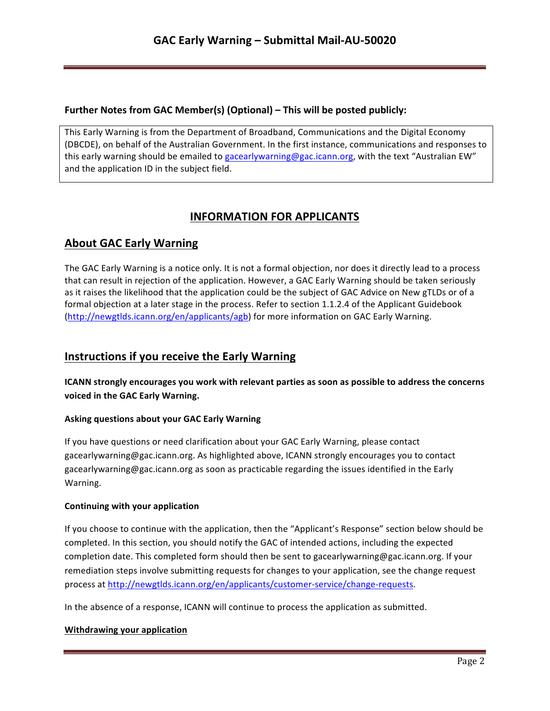### **Further Notes from GAC Member(s) (Optional) – This will be posted publicly:**

This Early Warning is from the Department of Broadband, Communications and the Digital Economy (DBCDE), on behalf of the Australian Government. In the first instance, communications and responses to this early warning should be emailed to gacearlywarning@gac.icann.org, with the text "Australian EW" and the application ID in the subject field.

# **INFORMATION FOR APPLICANTS**

# **About GAC Early Warning**

The GAC Early Warning is a notice only. It is not a formal objection, nor does it directly lead to a process that can result in rejection of the application. However, a GAC Early Warning should be taken seriously as it raises the likelihood that the application could be the subject of GAC Advice on New gTLDs or of a formal objection at a later stage in the process. Refer to section 1.1.2.4 of the Applicant Guidebook (http://newgtlds.icann.org/en/applicants/agb) for more information on GAC Early Warning.

## **Instructions if you receive the Early Warning**

**ICANN** strongly encourages you work with relevant parties as soon as possible to address the concerns voiced in the GAC Early Warning.

### **Asking questions about your GAC Early Warning**

If you have questions or need clarification about your GAC Early Warning, please contact gacearlywarning@gac.icann.org. As highlighted above, ICANN strongly encourages you to contact gacearlywarning@gac.icann.org as soon as practicable regarding the issues identified in the Early Warning. 

### **Continuing with your application**

If you choose to continue with the application, then the "Applicant's Response" section below should be completed. In this section, you should notify the GAC of intended actions, including the expected completion date. This completed form should then be sent to gacearlywarning@gac.icann.org. If your remediation steps involve submitting requests for changes to your application, see the change request process at http://newgtlds.icann.org/en/applicants/customer-service/change-requests.

In the absence of a response, ICANN will continue to process the application as submitted.

### **Withdrawing your application**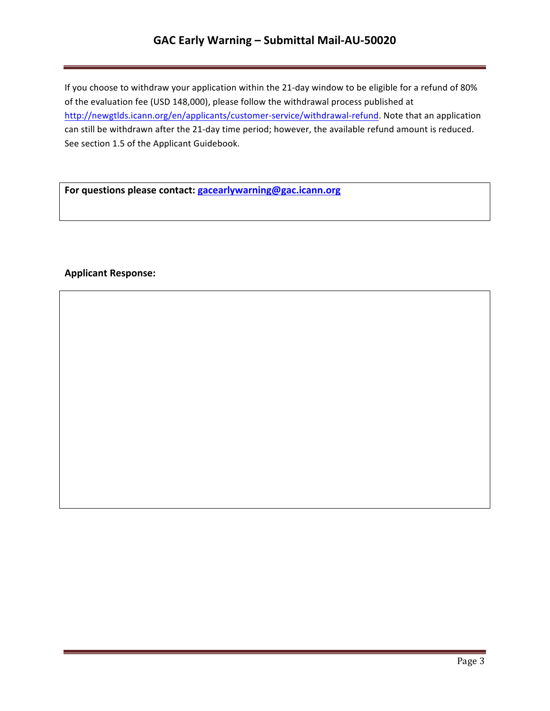# GAC Early Warning - Submittal Mail-AU-50020

If you choose to withdraw your application within the 21-day window to be eligible for a refund of 80% of the evaluation fee (USD 148,000), please follow the withdrawal process published at http://newgtlds.icann.org/en/applicants/customer-service/withdrawal-refund. Note that an application can still be withdrawn after the 21-day time period; however, the available refund amount is reduced. See section 1.5 of the Applicant Guidebook.

For questions please contact: **gacearlywarning@gac.icann.org** 

### **Applicant Response:**